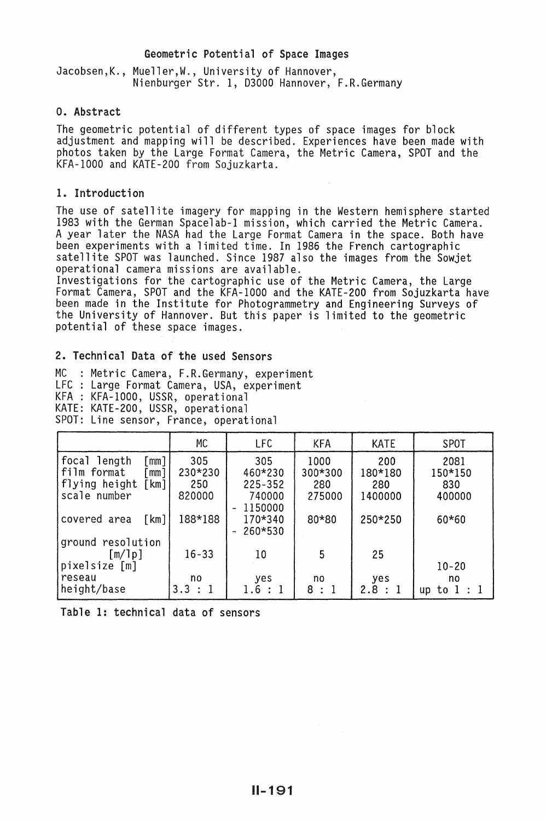## Geometric Potential of Space Images

Jacobsen,K., Mueller,W., University of Hannover, Nienburger Str. 1, 03000 Hannover, F.R.Germany

# 0. Abstract

The geometric potential of different types of space images for block adjustment and mapping will be described. Experiences have been made with photos taken by the Large Format Camera, the Metric Camera, SPOT and the KFA-1000 and KATE-200 from Sojuzkarta.

# 1. Introduction

The use of satellite imagery for mapping in the Western hemisphere started 1983 with the German Spacelab-1 mission, which carried the Metric Camera. A year later the NASA had the Large Format Camera in the space. Both have been experiments with a limited time. In 1986 the French cartographic<br>satellite SPOT was launched. Since 1987 also the images from the Sowjet<br>operational camera missions are available.<br>Investigations for the cartographic u

Format Camera, SPOT and the KFA-1000 and the KATE-200 from Sojuzkarta have been made in the Institute for Photogrammetry and Engineering Surveys of the University of Hannover. But this paper is limited to the geometric potential of these space images.

# 2. Technical Data of the used Sensors

MC : Metric Camera, F.R.Germany, experiment LFC : Large Format Camera, USA, experiment KFA : KFA-1000, USSR, operational KATE: KATE-200, USSR, operational SPOT: Line sensor, France, operational

|                                                                                                 | <b>MC</b>                       | LFC                                                                            | <b>KFA</b>                       | <b>KATE</b>                      | <b>SPOT</b>                      |
|-------------------------------------------------------------------------------------------------|---------------------------------|--------------------------------------------------------------------------------|----------------------------------|----------------------------------|----------------------------------|
| focal length<br>[mm]<br>film format<br>$\mathsf{mm}$ ]<br>flying height<br>[km]<br>scale number | 305<br>230*230<br>250<br>820000 | 305<br>460*230<br>$225 - 352$<br>740000<br>1150000<br>$\overline{\phantom{a}}$ | 1000<br>300*300<br>280<br>275000 | 200<br>180*180<br>280<br>1400000 | 2081<br>150*150<br>830<br>400000 |
| covered area<br>$\lceil km \rceil$                                                              | 188*188                         | 170*340<br>260*530                                                             | 80*80                            | 250*250                          | $60*60$                          |
| ground resolution<br>[m/1p]<br>pixelsize [m]                                                    | $16 - 33$                       | 10                                                                             | 5                                | 25                               | $10 - 20$                        |
| reseau<br>height/base                                                                           | no.<br>3.3 : 1                  | yes<br>1.6:1                                                                   | no<br>8:1                        | yes<br>2.8:1                     | no<br>to $1:1$<br>up             |

Table 1: technical data of sensors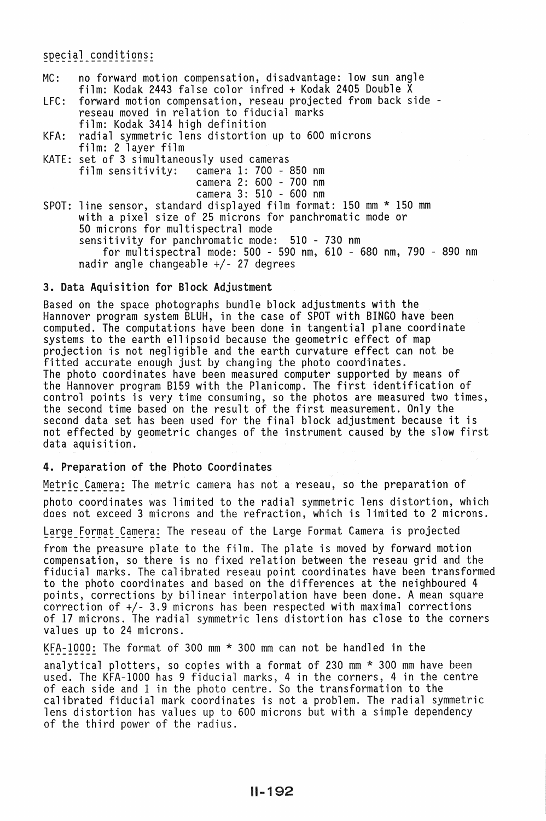special conditions:

- MC: no forward motion compensation, disadvantage: low sun angle film: Kodak 2443 false color infred + Kodak 2405 Double X
- forward motion compensation, reseau projected from back side reseau moved in relation to fiducial marks film: Kodak 3414 high definition
- KFA: radial symmetric lens distortion up to 600 microns film: 2 layer film
- KATE: set of 3 simultaneously used cameras film sensitivity: camera 1: 700 ~ 850 nm camera 2: 600 - 700 nm camera 3: 510 - 600 nm SPOT: line sensor, standard displayed film format: 150 mm \* 150 mm with a pixel size of 25 microns for panchromatic mode or 50 microns for multispectral mode sensitivity for panchromatic mode: 510 - 730 nm for multispectral mode: 500 - 590 nm, 610 - 680 nm, 790 - 890 nm nadir angle changeable +/- 27 degrees

## 3. Data Aquisition for Block Adjustment

Based on the space photographs bundle block adjustments with the Hannover program system BLUH, in the case of SPOT with BINGO have been computed. The computations have been done in tangential plane coordinate systems to the earth ellipsoid because the geometric effect of map projection is not negligible and the earth curvature effect can not be fitted accurate enough just by changing the photo coordinates. The photo coordinates have been measured computer supported by means of the Hannover program 8159 with the Planicomp. The first identification of control points is very time consuming, so the photos are measured two times, the second time based on the result of the first measurement. Only the second data set has been used for the final block adjustment because it is not effected by geometric changes of the instrument caused by the slow first data aquisition.

#### 4. Preparation of the Photo Coordinates

Metric Camera: The metric camera has not a reseau, so the preparation of photo coordinates was limited to the radial symmetric lens distortion, which does not exceed 3 microns and the refraction, which is limited to 2 microns.

Large Format Camera: The reseau of the Large Format Camera is projected

from the preasure plate to the film. The plate is moved by forward motion compensation, so there is no fixed relation between the reseau grid and the fiducial marks. The calibrated reseau point coordinates have been transformed to the photo coordinates and based on the differences at the neighboured 4 points, corrections by bilinear interpolation have been done. A mean square correction of +/- 3.9 microns has been respected with maximal corrections of 17 microns. The radial symmetric lens distortion has close to the corners values up to 24 microns.

KFA-1000: The format of 300 mm  $*$  300 mm can not be handled in the

analytical plotters, so copies with a format of 230 mm \* 300 mm have been used. The KFA-1000 has 9 fiducial marks, 4 in the corners, 4 in the centre of each side and 1 in the photo centre. So the transformation to the calibrated fiducial mark coordinates is not a problem. The radial symmetric<br>lens distortion has values up to 600 microns but with a simple dependency of the third power of the radius.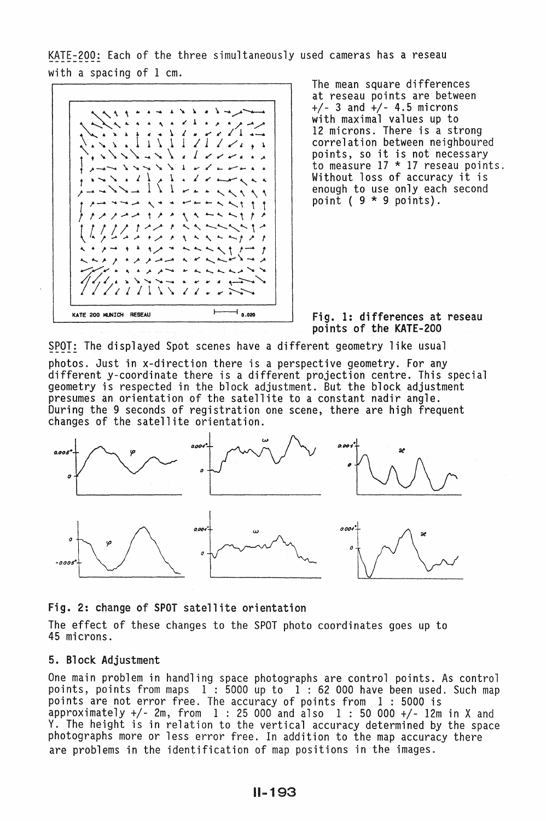KATE-200: Each of the three simultaneously used cameras has a reseau with a spacing of 1 cm.



The mean square differences at reseau points are between +/- 3 and +/- 4.5 microns with maximal values up to<br>12 microns. There is a strong 12 microns. There is a strong<br>correlation between neighboured<br>points, so it is not necessary to measure 17 \* 17 reseau points. Without loss of accuracy it is enough to use only each second point (  $9 * 9$  points).

## Fig. 1: differences at reseau points of the KATE-200

SPOT: The displayed Spot scenes have a different geometry like usual

photos. Just in x-direction there is a perspective geometry. For any different y-coordinate there is a different projection centre. This special geometry is respected in the block adjustment. But the block adjustment presumes an orientation of the satellite to a constant nadir angle. During the 9 seconds of registration one scene, there are high frequent changes of the satellite orientation.



#### Fig. 2: change of SPOT satellite orientation

The effect of these changes to the SPOT photo coordinates goes up to 45 microns.

# 5. Block Adjustment

One main problem in handling space photographs are control points. As control points, points from maps  $1:5000$  up to  $1:62000$  have been used. Such map points are not error free. The accuracy of points from 1 : 5000 is approximately  $+/$ - 2m, from 1 : 25 000 and also 1 : 50 000  $+/$ - 12m in X and Y. The height is in relation to the vertical accuracy determined by the space photographs more or less error free. In addition to the map accuracy there are problems in the identification of map positions in the images.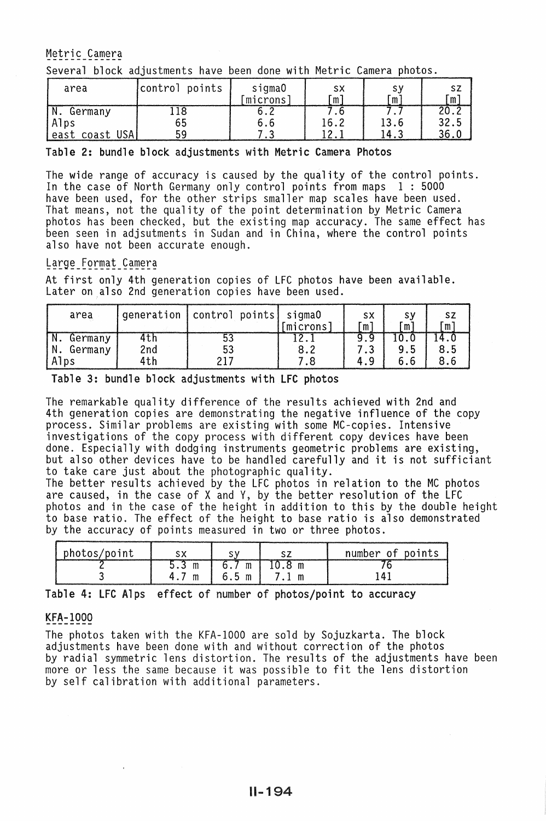Metric Camera

Several block adjustments have been done with Metric Camera photos.

| area           | control points | sigma0<br>microns | sх<br>m | m    | sz |
|----------------|----------------|-------------------|---------|------|----|
| Germany        |                |                   |         |      |    |
| Alps           | 65             | o.o               | 16.2    | 13.6 |    |
| east coast USA |                |                   |         | Δ    |    |

#### Table 2: bundle block adjustments with Metric Camera Photos

The wide range of accuracy is caused by the quality of the control points. In the case of North Germany only control points from maps 1 : 5000 have been used, for the other strips smaller map scales have been used. That means, not the quality of the point determination by Metric Camera photos has been checked, but the existing map accuracy. The same effect has been seen in adjsutments in Sudan and in China, where the control points also have not been accurate enough.

# Large Format Camera

At first only 4th generation copies of LFC photos have been available. Later on also 2nd generation copies have been used.

| area       |     | generation control points sigma0 | [microns] | SΧ<br>'n | s٧<br>m |  |
|------------|-----|----------------------------------|-----------|----------|---------|--|
| Germany    | 4th |                                  |           |          |         |  |
| N. Germany | 2nd | 53                               |           |          | 9.5     |  |
| Alps       | 4th |                                  |           |          | h       |  |

Table 3: bundle block adjustments with LFC photos

The remarkable quality difference of the results achieved with 2nd and 4th generation copies are demonstrating the negative influence of the copy process. Similar problems are existing with some MC-copies. Intensive investigations of the copy process with different copy devices have been<br>done. Especially with dodging instruments geometric problems are existing, but also other devices have to be handled carefully and it is not sufficiant to take care just about the photographic quality.

The better results achieved by the LFC photos in relation to the MC photos are caused, in the case of X and Y, by the better resolution of the LFC photos and in the case of the height in addition to this by the double height to base ratio. The effect of the height to base ratio is also demonstrated by the accuracy of points measured in two or three photos.

| photos/point |   |          |   | number of points |
|--------------|---|----------|---|------------------|
|              | m | m        |   |                  |
|              | m | 6.5<br>m | m |                  |

Table 4: LFC Alps effect of number of photos/point to accuracy

# KFA-1000

The photos taken with the KFA-1000 are sold by Sojuzkarta. The block by radial symmetric lens distortion. The results of the adjustments have been more or less the same because it was possible to fit the lens distortion by self calibration with additional parameters.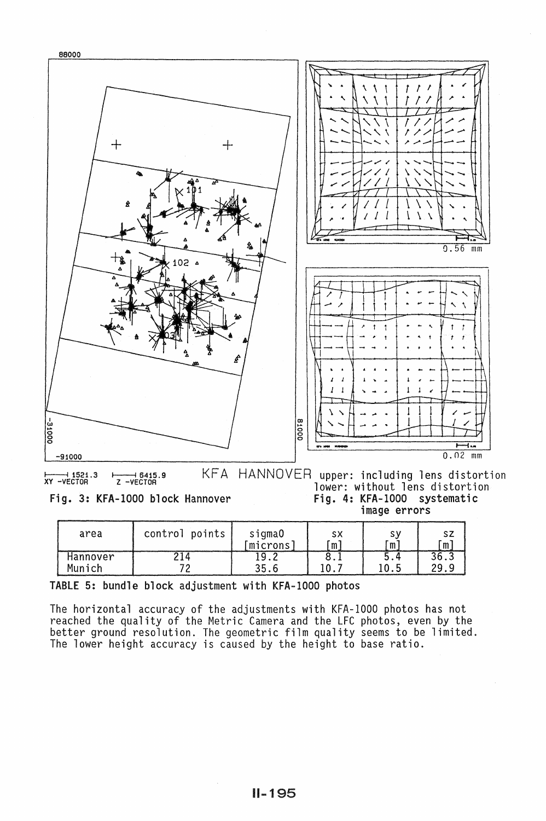

| area     | control points | sigma0<br>microns | sх<br>m | m    | ັm   |
|----------|----------------|-------------------|---------|------|------|
| Hannover |                |                   |         | י. כ | 36.3 |
| Munich   |                |                   |         | 0.5  | 29.  |

TABLE 5: bundle block adjustment with KFA-1000 photos

The horizontal accuracy of the adjustments with KFA-1000 photos has not reached the quality of the Metric Camera and the LFC photos, even by the better ground resolution. The geometric film quality seems to be limited. The lower height accuracy is caused by the height to base ratio.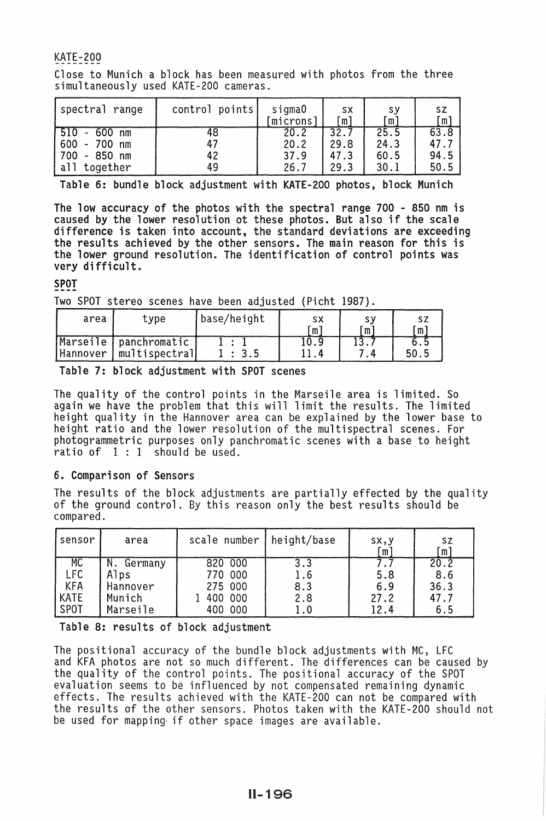# KATE-200

Close to Munich a block has been measured with photos from the three simultaneously used KATE-200 cameras.

| spectral range                                                                  | control points       | sigma0<br>[microns]          | <b>SX</b><br>[m]             | sу<br>ັm)                    | <b>SZ</b><br>m,              |
|---------------------------------------------------------------------------------|----------------------|------------------------------|------------------------------|------------------------------|------------------------------|
| 510<br>$600$ nm<br>$\sim$<br>$600 - 700$ nm<br>$-850$ nm<br>700<br>all together | 48<br>47<br>42<br>49 | 20.2<br>20.2<br>37.9<br>26.7 | 32.7<br>29.8<br>47.3<br>29.3 | 25.5<br>24.3<br>60.5<br>30.1 | 63.8<br>47.7<br>94.5<br>50.5 |

Table 6: bundle block adjustment with KATE-200 photos, block Munich

The low accuracy of the photos with the spectral range 700 - 850 nm is caused by the lower resolution ot these photos. But also if the scale difference is taken into account, the standard deviations are exceeding the results achieved by the other sensors. The main reason for this is the lower ground resolution. The identification of control points was very difficult.

SPOT

Two SPOT stereo scenes have been adjusted (Picht 1987).

| area | type                                              | base/height | sx<br>m | m | m |
|------|---------------------------------------------------|-------------|---------|---|---|
|      | Marseile panchromatic<br>Hannover   multispectral |             |         |   |   |

Table 7: block adjustment with SPOT scenes

The quality of the control points in the Marseile area is limited. So again we have the problem that this will limit the results. The limited height quality in the Hannover area can be explained by the lower base to height ratio and the lower resolution of the multispectral scenes. For photogrammetric purposes only panchromatic scenes with a base to height ratio of  $1 : 1$  should be used.

# 6. Comparison of Sensors

The results of the block adjustments are partially effected by the quality of the ground control. By this reason only the best results should be compared.

| sensor                  | area                              | scale number   height/base    |                    | SX, Y<br>m   | SΖ<br>m             |
|-------------------------|-----------------------------------|-------------------------------|--------------------|--------------|---------------------|
| МC<br>LFC<br><b>KFA</b> | N.<br>Germany<br>Alps<br>Hannover | 820 000<br>770 000<br>275 000 | 3.3<br>1.6<br>8.3  | 5.8<br>6.9   | 20.2<br>8.6<br>36.3 |
| <b>KATE</b><br>SPOT     | Munich<br>Marseile                | 400 000<br>400 000            | 2.8<br>$1\, .$ $0$ | 27.2<br>12.4 | 47.7<br>6.5         |

Table 8: results of block adjustment

The positional accuracy of the bundle block adjustments with MC, LFC and KFA photos are not so much different. The differences can be caused by<br>the quality of the control points. The positional accuracy of the SPOT evaluation seems to be influenced by not compensated remaining dynamic effects. The results achieved with the KATE-200 can not be compared with the results of the other sensors. Photos taken with the KATE-200 should not be used for mapping· if other space images are available.